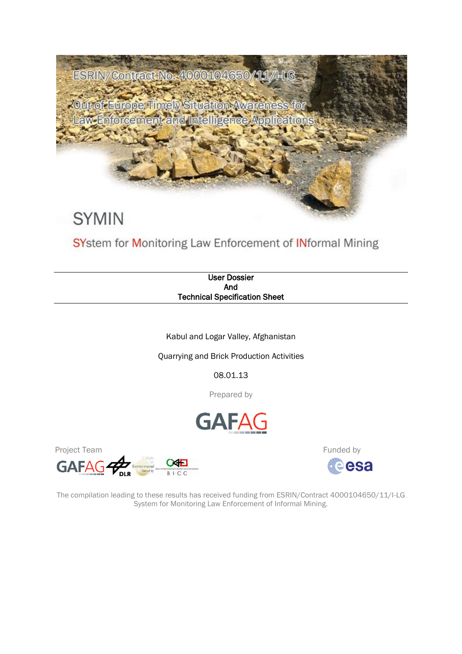

SYstem for Monitoring Law Enforcement of INformal Mining

User Dossier And Technical Specification Sheet

Kabul and Logar Valley, Afghanistan

Quarrying and Brick Production Activities

08.01.13

Prepared by





**cesa** 

The compilation leading to these results has received funding from ESRIN/Contract 4000104650/11/I-LG System for Monitoring Law Enforcement of Informal Mining.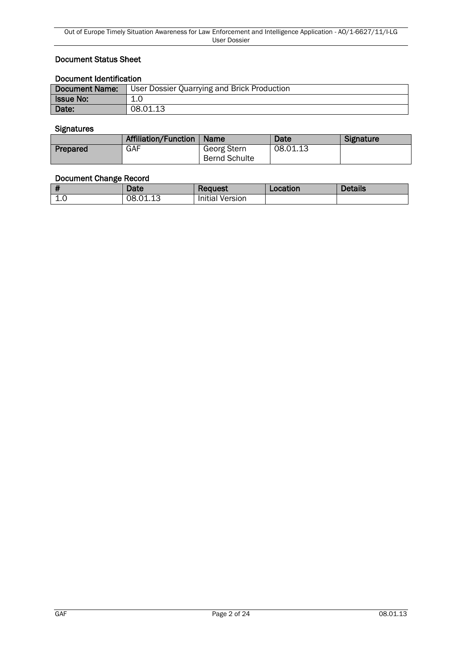### Document Status Sheet

### Document Identification

| Document Name:   | User Dossier Quarrying and Brick Production |  |  |
|------------------|---------------------------------------------|--|--|
| <b>Issue No:</b> | $\overline{ }$<br>⊥.∪                       |  |  |
| Date:            | 08.01.13                                    |  |  |

# **Signatures**

|          | <b>Affiliation/Function</b> | <b>Name</b>          | Date     | Signature |
|----------|-----------------------------|----------------------|----------|-----------|
| Prepared | GAF                         | Georg Stern          | 08.01.13 |           |
|          |                             | <b>Bernd Schulte</b> |          |           |

#### Document Change Record

|    | ⊅ate           | <b>Request</b>         | Location | <b>Details</b> |
|----|----------------|------------------------|----------|----------------|
| ∸∙ | 12<br>08.01.13 | <b>Initial Version</b> |          |                |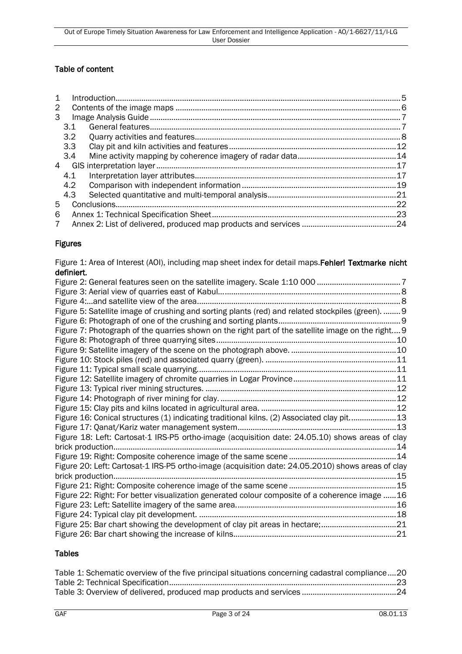# Table of content

| $\mathbf{1}$   |     |  |
|----------------|-----|--|
| $\overline{2}$ |     |  |
| 3              |     |  |
|                | 3.1 |  |
|                | 3.2 |  |
|                | 3.3 |  |
|                | 3.4 |  |
| 4              |     |  |
|                | 4.1 |  |
|                | 4.2 |  |
|                | 4.3 |  |
| 5              |     |  |
| 6              |     |  |
| 7              |     |  |

## Figures

Figure 1: Area of Interest (AOI), including map sheet index for detail maps. Fehler! Textmarke nicht definiert.

| Figure 5: Satellite image of crushing and sorting plants (red) and related stockpiles (green).  9  |    |
|----------------------------------------------------------------------------------------------------|----|
|                                                                                                    |    |
| Figure 7: Photograph of the quarries shown on the right part of the satellite image on the right 9 |    |
|                                                                                                    |    |
|                                                                                                    |    |
|                                                                                                    |    |
|                                                                                                    |    |
|                                                                                                    |    |
|                                                                                                    |    |
|                                                                                                    |    |
|                                                                                                    |    |
| Figure 16: Conical structures (1) indicating traditional kilns. (2) Associated clay pit13          |    |
|                                                                                                    |    |
| Figure 18: Left: Cartosat-1 IRS-P5 ortho-image (acquisition date: 24.05.10) shows areas of clay    |    |
|                                                                                                    | 14 |
|                                                                                                    |    |
| Figure 20: Left: Cartosat-1 IRS-P5 ortho-image (acquisition date: 24.05.2010) shows areas of clay  |    |
| brick production                                                                                   |    |
|                                                                                                    |    |
| Figure 22: Right: For better visualization generated colour composite of a coherence image 16      |    |
|                                                                                                    |    |
|                                                                                                    |    |
| Figure 25: Bar chart showing the development of clay pit areas in hectare;21                       |    |
|                                                                                                    |    |

### Tables

| Table 1: Schematic overview of the five principal situations concerning cadastral compliance20 |  |
|------------------------------------------------------------------------------------------------|--|
|                                                                                                |  |
|                                                                                                |  |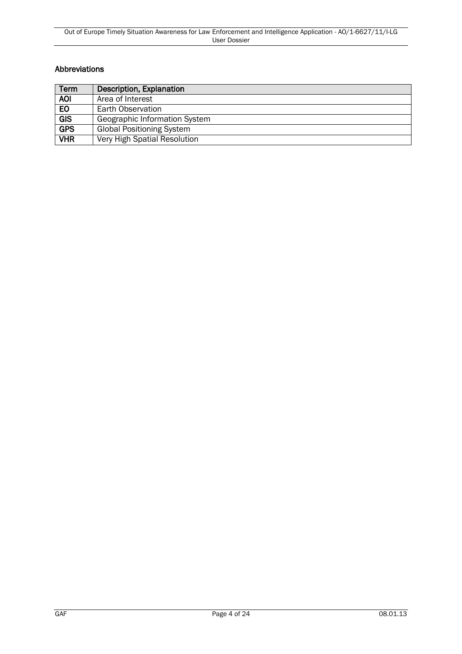### Abbreviations

| Term             | Description, Explanation         |
|------------------|----------------------------------|
| <b>AOI</b>       | Area of Interest                 |
| EO               | Earth Observation                |
| $\overline{GIS}$ | Geographic Information System    |
| <b>GPS</b>       | <b>Global Positioning System</b> |
| <b>VHR</b>       | Very High Spatial Resolution     |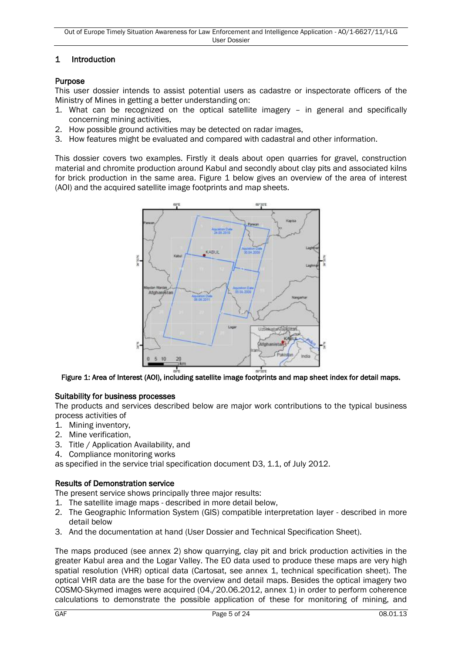### <span id="page-4-0"></span>1 Introduction

### Purpose

This user dossier intends to assist potential users as cadastre or inspectorate officers of the Ministry of Mines in getting a better understanding on:

- 1. What can be recognized on the optical satellite imagery in general and specifically concerning mining activities,
- 2. How possible ground activities may be detected on radar images,
- 3. How features might be evaluated and compared with cadastral and other information.

This dossier covers two examples. Firstly it deals about open quarries for gravel, construction material and chromite production around Kabul and secondly about clay pits and associated kilns for brick production in the same area. Figure 1 below gives an overview of the area of interest (AOI) and the acquired satellite image footprints and map sheets.



Figure 1: Area of Interest (AOI), including satellite image footprints and map sheet index for detail maps.

#### Suitability for business processes

The products and services described below are major work contributions to the typical business process activities of

- 1. Mining inventory,
- 2. Mine verification,
- 3. Title / Application Availability, and
- 4. Compliance monitoring works

as specified in the service trial specification document D3, 1.1, of July 2012.

### Results of Demonstration service

The present service shows principally three major results:

- 1. The satellite image maps described in more detail below,
- 2. The Geographic Information System (GIS) compatible interpretation layer described in more detail below
- 3. And the documentation at hand (User Dossier and Technical Specification Sheet).

The maps produced (see annex 2) show quarrying, clay pit and brick production activities in the greater Kabul area and the Logar Valley. The EO data used to produce these maps are very high spatial resolution (VHR) optical data (Cartosat, see annex 1, technical specification sheet). The optical VHR data are the base for the overview and detail maps. Besides the optical imagery two COSMO-Skymed images were acquired (04./20.06.2012, annex 1) in order to perform coherence calculations to demonstrate the possible application of these for monitoring of mining, and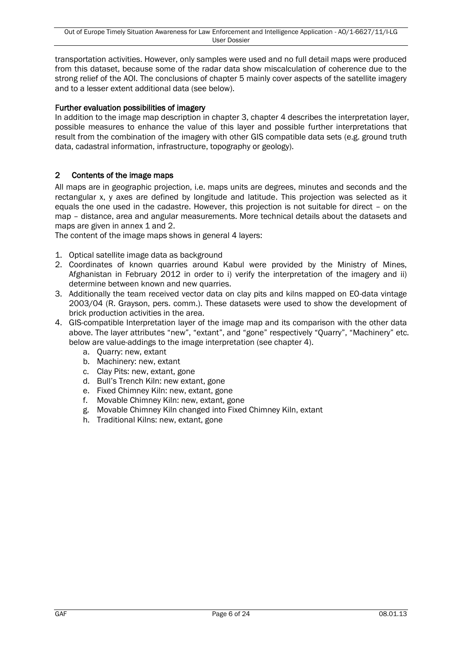transportation activities. However, only samples were used and no full detail maps were produced from this dataset, because some of the radar data show miscalculation of coherence due to the strong relief of the AOI. The conclusions of chapter 5 mainly cover aspects of the satellite imagery and to a lesser extent additional data (see below).

### Further evaluation possibilities of imagery

In addition to the image map description in chapter 3, chapter 4 describes the interpretation layer, possible measures to enhance the value of this layer and possible further interpretations that result from the combination of the imagery with other GIS compatible data sets (e.g. ground truth data, cadastral information, infrastructure, topography or geology).

### <span id="page-5-0"></span>2 Contents of the image maps

All maps are in geographic projection, i.e. maps units are degrees, minutes and seconds and the rectangular x, y axes are defined by longitude and latitude. This projection was selected as it equals the one used in the cadastre. However, this projection is not suitable for direct – on the map – distance, area and angular measurements. More technical details about the datasets and maps are given in annex 1 and 2.

The content of the image maps shows in general 4 layers:

- 1. Optical satellite image data as background
- 2. Coordinates of known quarries around Kabul were provided by the Ministry of Mines, Afghanistan in February 2012 in order to i) verify the interpretation of the imagery and ii) determine between known and new quarries.
- 3. Additionally the team received vector data on clay pits and kilns mapped on EO-data vintage 2003/04 (R. Grayson, pers. comm.). These datasets were used to show the development of brick production activities in the area.
- 4. GIS-compatible Interpretation layer of the image map and its comparison with the other data above. The layer attributes "new", "extant", and "gone" respectively "Quarry", "Machinery" etc. below are value-addings to the image interpretation (see chapter 4).
	- a. Quarry: new, extant
	- b. Machinery: new, extant
	- c. Clay Pits: new, extant, gone
	- d. Bull's Trench Kiln: new extant, gone
	- e. Fixed Chimney Kiln: new, extant, gone
	- f. Movable Chimney Kiln: new, extant, gone
	- g. Movable Chimney Kiln changed into Fixed Chimney Kiln, extant
	- h. Traditional Kilns: new, extant, gone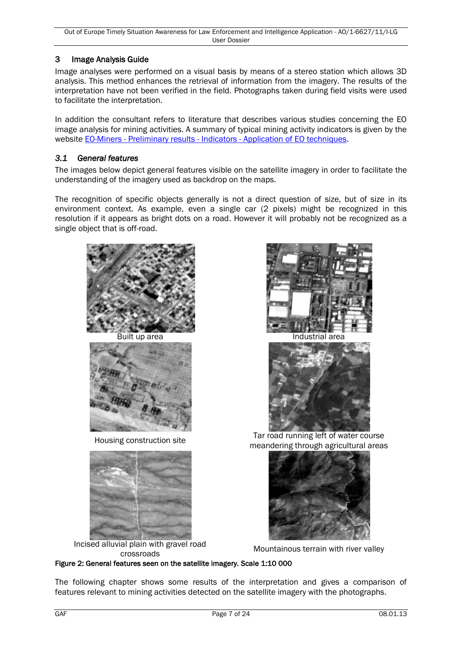# <span id="page-6-0"></span>3 Image Analysis Guide

Image analyses were performed on a visual basis by means of a stereo station which allows 3D analysis. This method enhances the retrieval of information from the imagery. The results of the interpretation have not been verified in the field. Photographs taken during field visits were used to facilitate the interpretation.

In addition the consultant refers to literature that describes various studies concerning the EO image analysis for mining activities. A summary of typical mining activity indicators is given by the website EO-Miners - Preliminary results - Indicators - [Application of EO techniques.](http://www.eo-miners.eu/prelim_results/pr_indi_application.htm)

### <span id="page-6-1"></span>*3.1 General features*

The images below depict general features visible on the satellite imagery in order to facilitate the understanding of the imagery used as backdrop on the maps.

The recognition of specific objects generally is not a direct question of size, but of size in its environment context. As example, even a single car (2 pixels) might be recognized in this resolution if it appears as bright dots on a road. However it will probably not be recognized as a single object that is off-road.



Incised alluvial plain with gravel road





Housing construction site Tar road running left of water course meandering through agricultural areas



lar plant with graver road<br>
Mountainous terrain with river valley<br>
crossroads

#### <span id="page-6-2"></span>Figure 2: General features seen on the satellite imagery. Scale 1:10 000

The following chapter shows some results of the interpretation and gives a comparison of features relevant to mining activities detected on the satellite imagery with the photographs.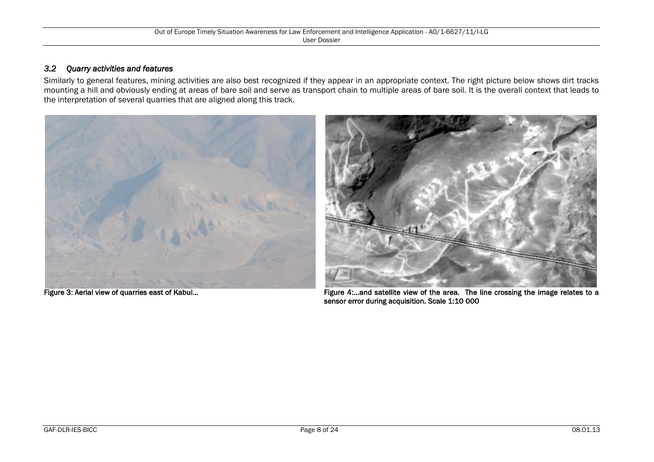### *3.2 Quarry activities and features*

Similarly to general features, mining activities are also best recognized if they appear in an appropriate context. The right picture below shows dirt tracks mounting a hill and obviously ending at areas of bare soil and serve as transport chain to multiple areas of bare soil. It is the overall context that leads to the interpretation of several quarries that are aligned along this track.

<span id="page-7-2"></span><span id="page-7-1"></span><span id="page-7-0"></span>



Figure 3: Aerial view of quarries east of Kabul... **Figure 4:...and satellite view of the area.** The line crossing the image relates to a sensor error during acquisition. Scale 1:10 000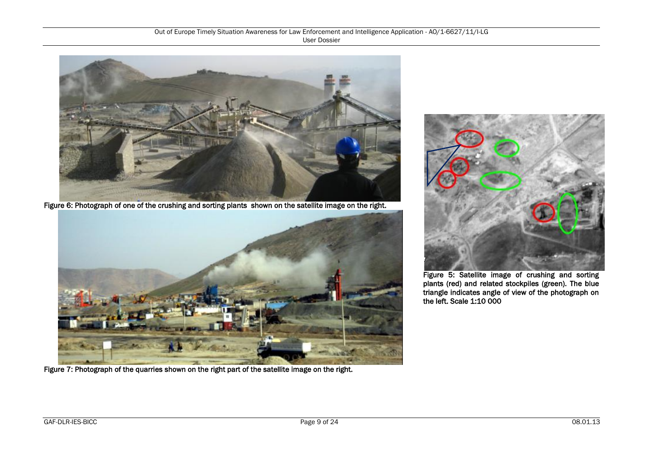

Figure 6: Photograph of one of the crushing and sorting plants shown on the satellite image on the right.

<span id="page-8-2"></span><span id="page-8-1"></span>

Figure 7: Photograph of the quarries shown on the right part of the satellite image on the right.



<span id="page-8-0"></span>Figure 5: Satellite image of crushing and sorting plants (red) and related stockpiles (green). The blue triangle indicates angle of view of the photograph on the left. Scale 1:10 000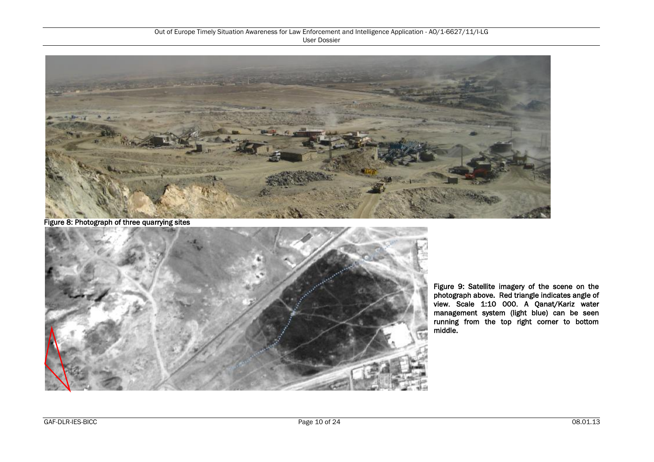

Figure 8: Photograph of three quarrying sites

<span id="page-9-0"></span>

<span id="page-9-1"></span>Figure 9: Satellite imagery of the scene on the photograph above. Red triangle indicates angle of view. Scale 1:10 000. A Qanat/Kariz water management system (light blue) can be seen running from the top right corner to bottom middle.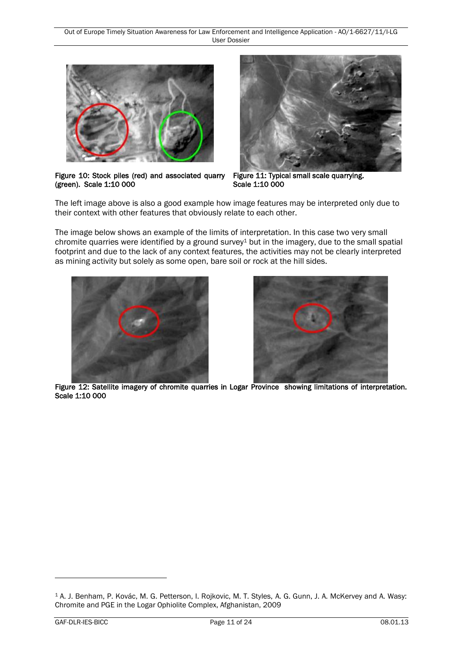

Figure 10: Stock piles (red) and associated quarry (green). Scale 1:10 000

<span id="page-10-1"></span>

Figure 11: Typical small scale quarrying. Scale 1:10 000

<span id="page-10-0"></span>The left image above is also a good example how image features may be interpreted only due to their context with other features that obviously relate to each other.

The image below shows an example of the limits of interpretation. In this case two very small chromite quarries were identified by a ground survey<sup>1</sup> but in the imagery, due to the small spatial footprint and due to the lack of any context features, the activities may not be clearly interpreted as mining activity but solely as some open, bare soil or rock at the hill sides.

<span id="page-10-2"></span>



Figure 12: Satellite imagery of chromite quarries in Logar Province showing limitations of interpretation. Scale 1:10 000

 $\overline{a}$ 

<sup>1</sup> A. J. Benham, P. Kovác, M. G. Petterson, I. Rojkovic, M. T. Styles, A. G. Gunn, J. A. McKervey and A. Wasy: Chromite and PGE in the Logar Ophiolite Complex, Afghanistan, 2009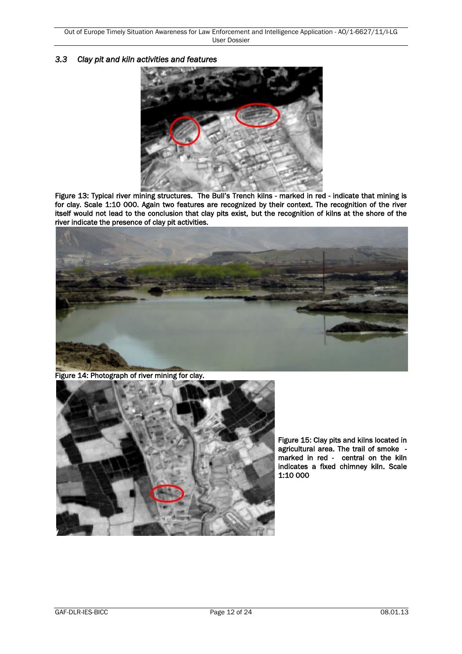### <span id="page-11-0"></span>*3.3 Clay pit and kiln activities and features*



<span id="page-11-1"></span>Figure 13: Typical river mining structures. The Bull's Trench kilns - marked in red - indicate that mining is for clay. Scale 1:10 000. Again two features are recognized by their context. The recognition of the river itself would not lead to the conclusion that clay pits exist, but the recognition of kilns at the shore of the river indicate the presence of clay pit activities.



Figure 14: Photograph of river mining for clay.

<span id="page-11-2"></span>

<span id="page-11-3"></span>Figure 15: Clay pits and kilns located in agricultural area. The trail of smoke marked in red - central on the kiln indicates a fixed chimney kiln. Scale 1:10 000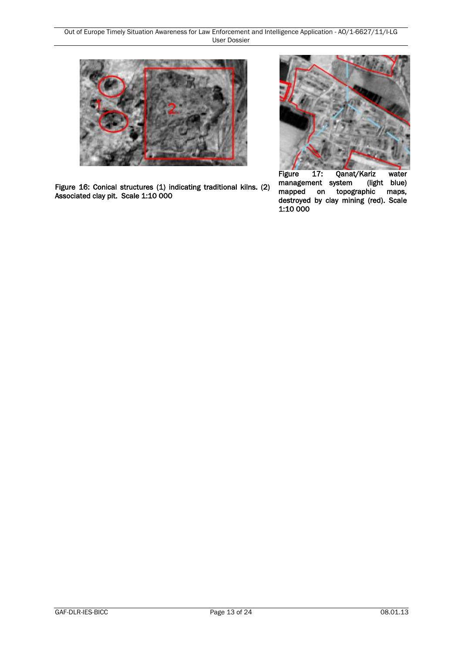<span id="page-12-0"></span>

Figure 16: Conical structures (1) indicating traditional kilns. (2) Associated clay pit. Scale 1:10 000

<span id="page-12-1"></span>

Figure 17: Qanat/Kariz water<br>management system (light blue) management system (light blue)<br>mapped on topographic maps, on topographic destroyed by clay mining (red). Scale 1:10 000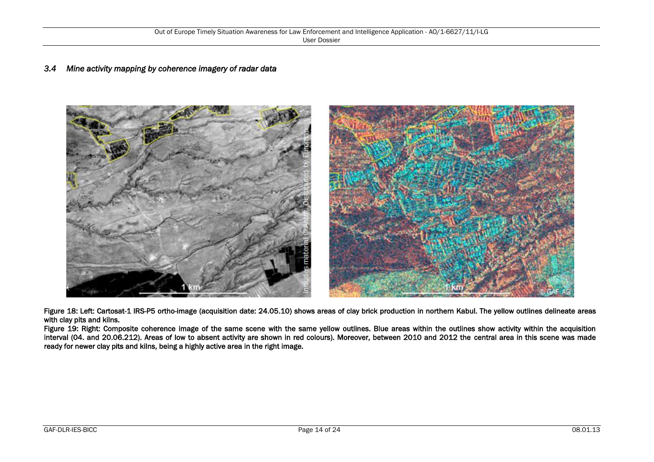*3.4 Mine activity mapping by coherence imagery of radar data* 



<span id="page-13-0"></span>Figure 18: Left: Cartosat-1 IRS-P5 ortho-image (acquisition date: 24.05.10) shows areas of clay brick production in northern Kabul. The yellow outlines delineate areas with clay pits and kilns.

<span id="page-13-2"></span><span id="page-13-1"></span>Figure 19: Right: Composite coherence image of the same scene with the same yellow outlines. Blue areas within the outlines show activity within the acquisition interval (04. and 20.06.212). Areas of low to absent activity are shown in red colours). Moreover, between 2010 and 2012 the central area in this scene was made ready for newer clay pits and kilns, being a highly active area in the right image.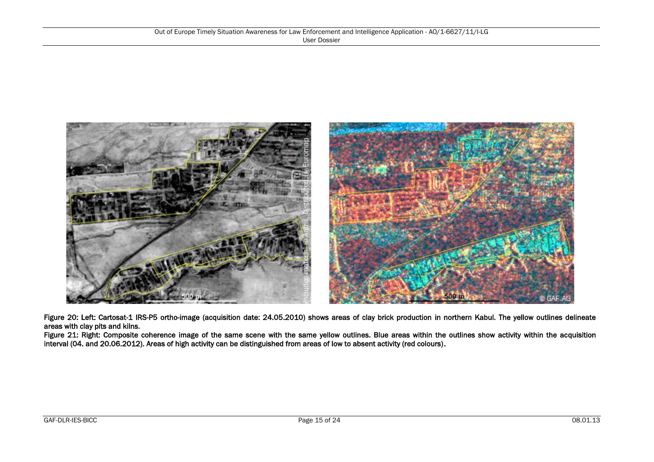

Figure 20: Left: Cartosat-1 IRS-P5 ortho-image (acquisition date: 24.05.2010) shows areas of clay brick production in northern Kabul. The yellow outlines delineate areas with clay pits and kilns.

<span id="page-14-1"></span><span id="page-14-0"></span>Figure 21: Right: Composite coherence image of the same scene with the same yellow outlines. Blue areas within the outlines show activity within the acquisition interval (04. and 20.06.2012). Areas of high activity can be distinguished from areas of low to absent activity (red colours).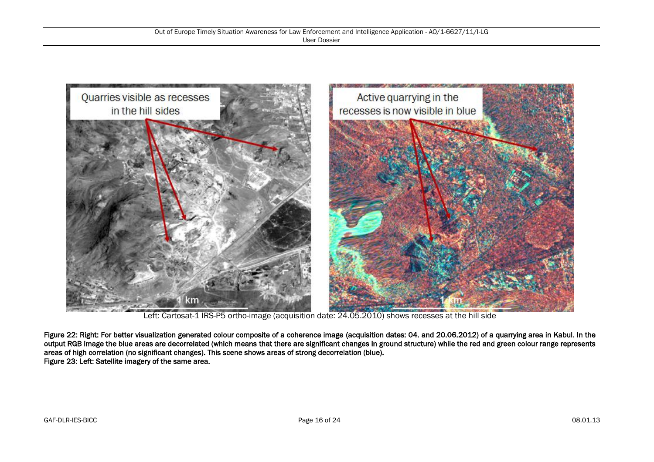

Left: Cartosat-1 IRS-P5 ortho-image (acquisition date: 24.05.2010) shows recesses at the hill side

<span id="page-15-1"></span><span id="page-15-0"></span>Figure 22: Right: For better visualization generated colour composite of a coherence image (acquisition dates: 04. and 20.06.2012) of a quarrying area in Kabul. In the output RGB image the blue areas are decorrelated (which means that there are significant changes in ground structure) while the red and green colour range represents areas of high correlation (no significant changes). This scene shows areas of strong decorrelation (blue). Figure 23: Left: Satellite imagery of the same area.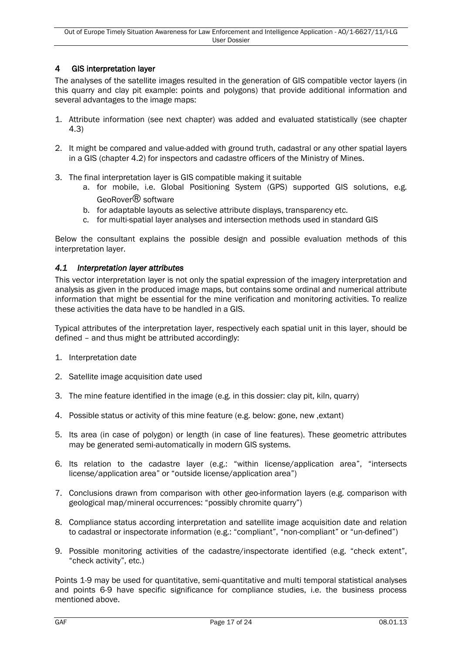## <span id="page-16-0"></span>4 GIS interpretation layer

The analyses of the satellite images resulted in the generation of GIS compatible vector layers (in this quarry and clay pit example: points and polygons) that provide additional information and several advantages to the image maps:

- 1. Attribute information (see next chapter) was added and evaluated statistically (see chapter 4.3)
- 2. It might be compared and value-added with ground truth, cadastral or any other spatial layers in a GIS (chapter 4.2) for inspectors and cadastre officers of the Ministry of Mines.
- 3. The final interpretation layer is GIS compatible making it suitable
	- a. for mobile, i.e. Global Positioning System (GPS) supported GIS solutions, e.g. GeoRover® software
	- b. for adaptable layouts as selective attribute displays, transparency etc.
	- c. for multi-spatial layer analyses and intersection methods used in standard GIS

Below the consultant explains the possible design and possible evaluation methods of this interpretation layer.

#### <span id="page-16-1"></span>*4.1 Interpretation layer attributes*

This vector interpretation layer is not only the spatial expression of the imagery interpretation and analysis as given in the produced image maps, but contains some ordinal and numerical attribute information that might be essential for the mine verification and monitoring activities. To realize these activities the data have to be handled in a GIS.

Typical attributes of the interpretation layer, respectively each spatial unit in this layer, should be defined – and thus might be attributed accordingly:

- 1. Interpretation date
- 2. Satellite image acquisition date used
- 3. The mine feature identified in the image (e.g. in this dossier: clay pit, kiln, quarry)
- 4. Possible status or activity of this mine feature (e.g. below: gone, new ,extant)
- 5. Its area (in case of polygon) or length (in case of line features). These geometric attributes may be generated semi-automatically in modern GIS systems.
- 6. Its relation to the cadastre layer (e.g.: "within license/application area", "intersects license/application area" or "outside license/application area")
- 7. Conclusions drawn from comparison with other geo-information layers (e.g. comparison with geological map/mineral occurrences: "possibly chromite quarry")
- 8. Compliance status according interpretation and satellite image acquisition date and relation to cadastral or inspectorate information (e.g.: "compliant", "non-compliant" or "un-defined")
- 9. Possible monitoring activities of the cadastre/inspectorate identified (e.g. "check extent", "check activity", etc.)

Points 1-9 may be used for quantitative, semi-quantitative and multi temporal statistical analyses and points 6-9 have specific significance for compliance studies, i.e. the business process mentioned above.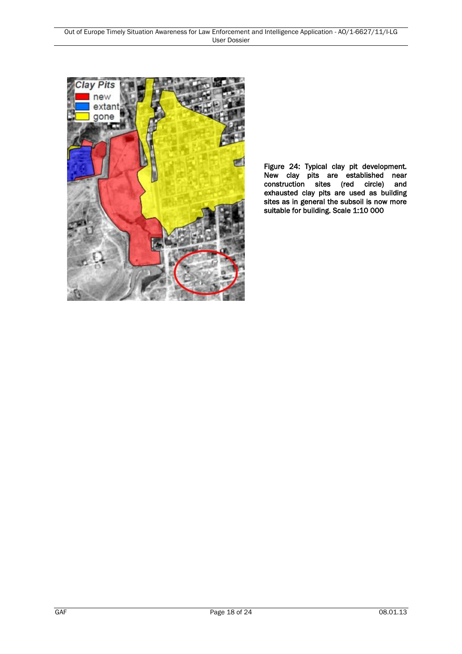

<span id="page-17-0"></span>Figure 24: Typical clay pit development. New clay pits are established near construction sites (red circle) and exhausted clay pits are used as building sites as in general the subsoil is now more suitable for building. Scale 1:10 000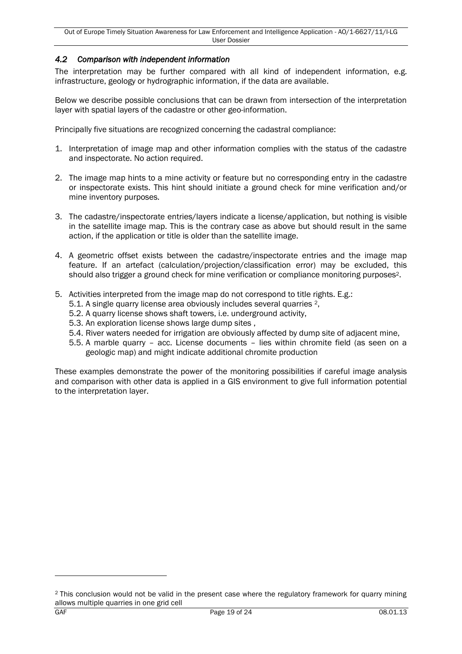### <span id="page-18-0"></span>*4.2 Comparison with independent information*

The interpretation may be further compared with all kind of independent information, e.g. infrastructure, geology or hydrographic information, if the data are available.

Below we describe possible conclusions that can be drawn from intersection of the interpretation layer with spatial layers of the cadastre or other geo-information.

Principally five situations are recognized concerning the cadastral compliance:

- 1. Interpretation of image map and other information complies with the status of the cadastre and inspectorate. No action required.
- 2. The image map hints to a mine activity or feature but no corresponding entry in the cadastre or inspectorate exists. This hint should initiate a ground check for mine verification and/or mine inventory purposes.
- 3. The cadastre/inspectorate entries/layers indicate a license/application, but nothing is visible in the satellite image map. This is the contrary case as above but should result in the same action, if the application or title is older than the satellite image.
- 4. A geometric offset exists between the cadastre/inspectorate entries and the image map feature. If an artefact (calculation/projection/classification error) may be excluded, this should also trigger a ground check for mine verification or compliance monitoring purposes2.
- 5. Activities interpreted from the image map do not correspond to title rights. E.g.:
	- 5.1. A single quarry license area obviously includes several quarries <sup>2</sup>,
	- 5.2. A quarry license shows shaft towers, i.e. underground activity,
	- 5.3. An exploration license shows large dump sites ,
	- 5.4. River waters needed for irrigation are obviously affected by dump site of adjacent mine,
	- 5.5. A marble quarry acc. License documents lies within chromite field (as seen on a geologic map) and might indicate additional chromite production

These examples demonstrate the power of the monitoring possibilities if careful image analysis and comparison with other data is applied in a GIS environment to give full information potential to the interpretation layer.

 $\overline{a}$ 

<sup>&</sup>lt;sup>2</sup> This conclusion would not be valid in the present case where the regulatory framework for quarry mining allows multiple quarries in one grid cell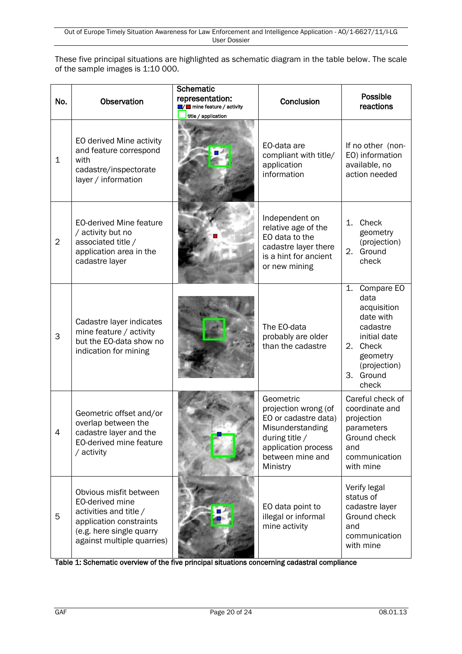These five principal situations are highlighted as schematic diagram in the table below. The scale of the sample images is 1:10 000.

| No.            | <b>Observation</b>                                                                                                                                       | <b>Schematic</b><br>representation:<br>$\Box/\Box$ mine feature / activity<br>title / application | Conclusion                                                                                                                                             | Possible<br>reactions                                                                                                                                |
|----------------|----------------------------------------------------------------------------------------------------------------------------------------------------------|---------------------------------------------------------------------------------------------------|--------------------------------------------------------------------------------------------------------------------------------------------------------|------------------------------------------------------------------------------------------------------------------------------------------------------|
| $\mathbf 1$    | EO derived Mine activity<br>and feature correspond<br>with<br>cadastre/inspectorate<br>layer / information                                               |                                                                                                   | EO-data are<br>compliant with title/<br>application<br>information                                                                                     | If no other (non-<br>EO) information<br>available, no<br>action needed                                                                               |
| $\overline{2}$ | <b>EO-derived Mine feature</b><br>/ activity but no<br>associated title /<br>application area in the<br>cadastre layer                                   |                                                                                                   | Independent on<br>relative age of the<br>EO data to the<br>cadastre layer there<br>is a hint for ancient<br>or new mining                              | Check<br>1.<br>geometry<br>(projection)<br>Ground<br>2.<br>check                                                                                     |
| 3              | Cadastre layer indicates<br>mine feature / activity<br>but the EO-data show no<br>indication for mining                                                  |                                                                                                   | The EO-data<br>probably are older<br>than the cadastre                                                                                                 | Compare EO<br>1.<br>data<br>acquisition<br>date with<br>cadastre<br>initial date<br>Check<br>2.<br>geometry<br>(projection)<br>Ground<br>3.<br>check |
| 4              | Geometric offset and/or<br>overlap between the<br>cadastre layer and the<br>EO-derived mine feature<br>/ activity                                        |                                                                                                   | Geometric<br>projection wrong (of<br>EO or cadastre data)<br>Misunderstanding<br>during title /<br>application process<br>between mine and<br>Ministry | Careful check of<br>coordinate and<br>projection<br>parameters<br>Ground check<br>and<br>communication<br>with mine                                  |
| 5              | Obvious misfit between<br>EO-derived mine<br>activities and title /<br>application constraints<br>(e.g. here single quarry<br>against multiple quarries) |                                                                                                   | EO data point to<br>illegal or informal<br>mine activity                                                                                               | Verify legal<br>status of<br>cadastre layer<br>Ground check<br>and<br>communication<br>with mine                                                     |

<span id="page-19-0"></span>Table 1: Schematic overview of the five principal situations concerning cadastral compliance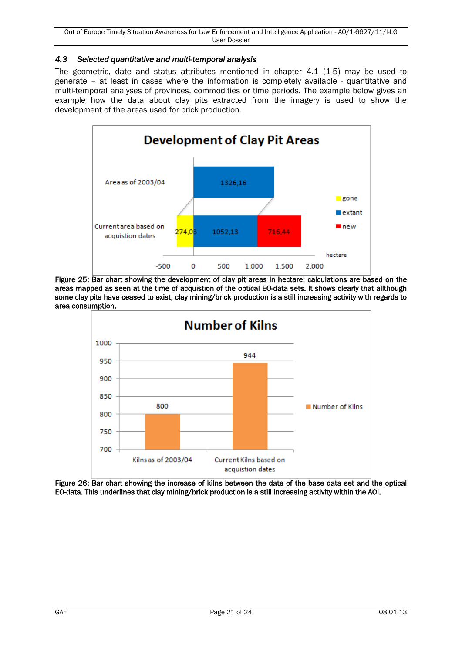### <span id="page-20-0"></span>*4.3 Selected quantitative and multi-temporal analysis*

The geometric, date and status attributes mentioned in chapter 4.1 (1-5) may be used to generate – at least in cases where the information is completely available - quantitative and multi-temporal analyses of provinces, commodities or time periods. The example below gives an example how the data about clay pits extracted from the imagery is used to show the development of the areas used for brick production.



<span id="page-20-1"></span>Figure 25: Bar chart showing the development of clay pit areas in hectare; calculations are based on the areas mapped as seen at the time of acquistion of the optical EO-data sets. It shows clearly that allthough some clay pits have ceased to exist, clay mining/brick production is a still increasing activity with regards to area consumption.



<span id="page-20-2"></span>Figure 26: Bar chart showing the increase of kilns between the date of the base data set and the optical EO-data. This underlines that clay mining/brick production is a still increasing activity within the AOI.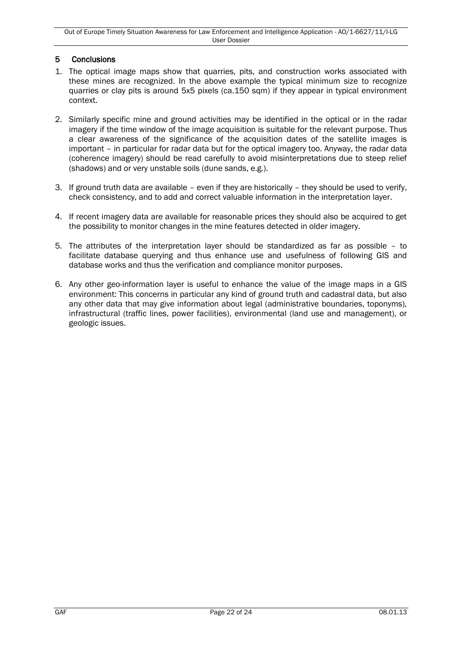### <span id="page-21-0"></span>5 Conclusions

- 1. The optical image maps show that quarries, pits, and construction works associated with these mines are recognized. In the above example the typical minimum size to recognize quarries or clay pits is around 5x5 pixels (ca.150 sqm) if they appear in typical environment context.
- 2. Similarly specific mine and ground activities may be identified in the optical or in the radar imagery if the time window of the image acquisition is suitable for the relevant purpose. Thus a clear awareness of the significance of the acquisition dates of the satellite images is important – in particular for radar data but for the optical imagery too. Anyway, the radar data (coherence imagery) should be read carefully to avoid misinterpretations due to steep relief (shadows) and or very unstable soils (dune sands, e.g.).
- 3. If ground truth data are available even if they are historically they should be used to verify, check consistency, and to add and correct valuable information in the interpretation layer.
- 4. If recent imagery data are available for reasonable prices they should also be acquired to get the possibility to monitor changes in the mine features detected in older imagery.
- 5. The attributes of the interpretation layer should be standardized as far as possible to facilitate database querying and thus enhance use and usefulness of following GIS and database works and thus the verification and compliance monitor purposes.
- 6. Any other geo-information layer is useful to enhance the value of the image maps in a GIS environment: This concerns in particular any kind of ground truth and cadastral data, but also any other data that may give information about legal (administrative boundaries, toponyms), infrastructural (traffic lines, power facilities), environmental (land use and management), or geologic issues.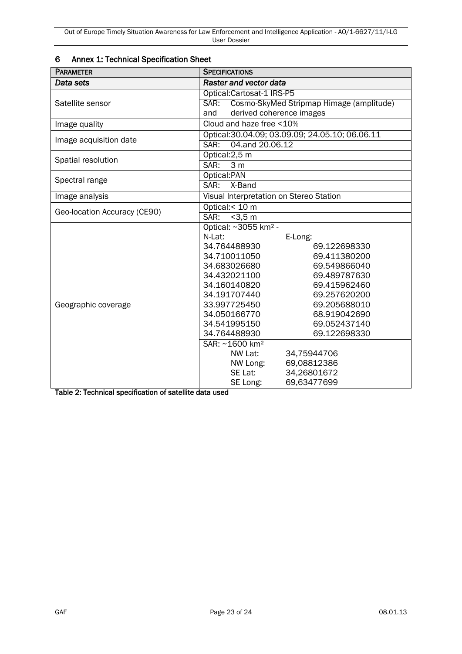| <b>PARAMETER</b>             | <b>SPECIFICATIONS</b>                            |              |  |
|------------------------------|--------------------------------------------------|--------------|--|
| Data sets                    | Raster and vector data                           |              |  |
|                              | Optical:Cartosat-1 IRS-P5                        |              |  |
| Satellite sensor             | Cosmo-SkyMed Stripmap Himage (amplitude)<br>SAR: |              |  |
|                              | derived coherence images<br>and                  |              |  |
| Image quality                | Cloud and haze free <10%                         |              |  |
| Image acquisition date       | Optical: 30.04.09; 03.09.09; 24.05.10; 06.06.11  |              |  |
|                              | 04.and 20.06.12<br>SAR:                          |              |  |
| Spatial resolution           | Optical:2,5 m                                    |              |  |
|                              | SAR:<br>3 <sub>m</sub>                           |              |  |
| Spectral range               | Optical:PAN                                      |              |  |
|                              | SAR:<br>X-Band                                   |              |  |
| Image analysis               | Visual Interpretation on Stereo Station          |              |  |
| Geo-location Accuracy (CE90) | Optical:< 10 m                                   |              |  |
|                              | SAR:<br>$<$ 3,5 $m$                              |              |  |
|                              | Optical: ~3055 km <sup>2</sup> -                 |              |  |
|                              | N-Lat:                                           | E-Long:      |  |
|                              | 34.764488930                                     | 69.122698330 |  |
|                              | 34.710011050                                     | 69.411380200 |  |
|                              | 34.683026680                                     | 69.549866040 |  |
|                              | 34.432021100                                     | 69.489787630 |  |
|                              | 34.160140820                                     | 69.415962460 |  |
|                              | 34.191707440                                     | 69.257620200 |  |
| Geographic coverage          | 33.997725450                                     | 69.205688010 |  |
|                              | 34.050166770                                     | 68.919042690 |  |
|                              | 34.541995150                                     | 69.052437140 |  |
|                              | 34.764488930                                     | 69.122698330 |  |
|                              | SAR: ~1600 km <sup>2</sup>                       |              |  |
|                              | NW Lat:                                          | 34,75944706  |  |
|                              | NW Long:                                         | 69,08812386  |  |
|                              | SE Lat:                                          | 34,26801672  |  |
|                              | SE Long:                                         | 69,63477699  |  |

# <span id="page-22-0"></span>6 Annex 1: Technical Specification Sheet

<span id="page-22-1"></span>Table 2: Technical specification of satellite data used